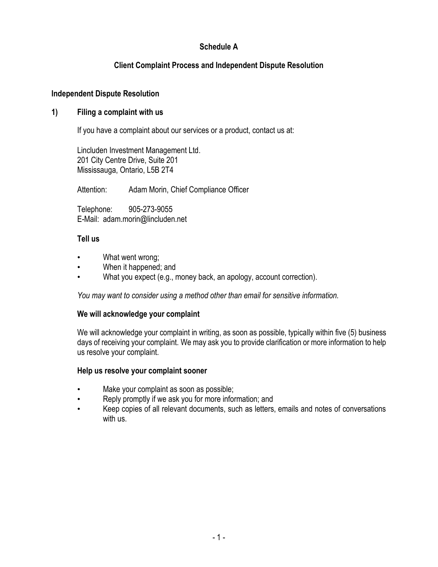# **Schedule A**

# **Client Complaint Process and Independent Dispute Resolution**

## **Independent Dispute Resolution**

## **1) Filing a complaint with us**

If you have a complaint about our services or a product, contact us at:

Lincluden Investment Management Ltd. 201 City Centre Drive, Suite 201 Mississauga, Ontario, L5B 2T4

Attention: Adam Morin, Chief Compliance Officer

Telephone: 905-273-9055 E-Mail: adam.morin@lincluden.net

## **Tell us**

- What went wrong;
- When it happened; and
- What you expect (e.g., money back, an apology, account correction).

*You may want to consider using a method other than email for sensitive information.*

### **We will acknowledge your complaint**

We will acknowledge your complaint in writing, as soon as possible, typically within five (5) business days of receiving your complaint. We may ask you to provide clarification or more information to help us resolve your complaint.

### **Help us resolve your complaint sooner**

- Make your complaint as soon as possible;
- Reply promptly if we ask you for more information; and
- Keep copies of all relevant documents, such as letters, emails and notes of conversations with us.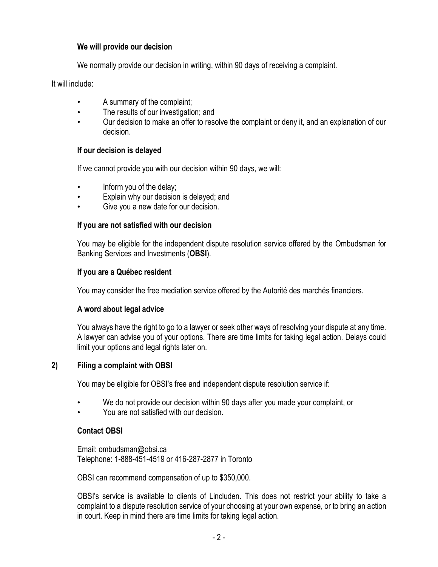## **We will provide our decision**

We normally provide our decision in writing, within 90 days of receiving a complaint.

It will include:

- A summary of the complaint;
- The results of our investigation; and
- Our decision to make an offer to resolve the complaint or deny it, and an explanation of our decision.

## **If our decision is delayed**

If we cannot provide you with our decision within 90 days, we will:

- Inform you of the delay;
- Explain why our decision is delayed; and
- Give you a new date for our decision.

### **If you are not satisfied with our decision**

You may be eligible for the independent dispute resolution service offered by the Ombudsman for Banking Services and Investments (**OBSI**).

## **If you are a Québec resident**

You may consider the free mediation service offered by the Autorité des marchés financiers.

### **A word about legal advice**

You always have the right to go to a lawyer or seek other ways of resolving your dispute at any time. A lawyer can advise you of your options. There are time limits for taking legal action. Delays could limit your options and legal rights later on.

### **2) Filing a complaint with OBSI**

You may be eligible for OBSI's free and independent dispute resolution service if:

- We do not provide our decision within 90 days after you made your complaint, or
- You are not satisfied with our decision.

## **Contact OBSI**

Email: ombudsman@obsi.ca Telephone: 1-888-451-4519 or 416-287-2877 in Toronto

OBSI can recommend compensation of up to \$350,000.

OBSI's service is available to clients of Lincluden. This does not restrict your ability to take a complaint to a dispute resolution service of your choosing at your own expense, or to bring an action in court. Keep in mind there are time limits for taking legal action.